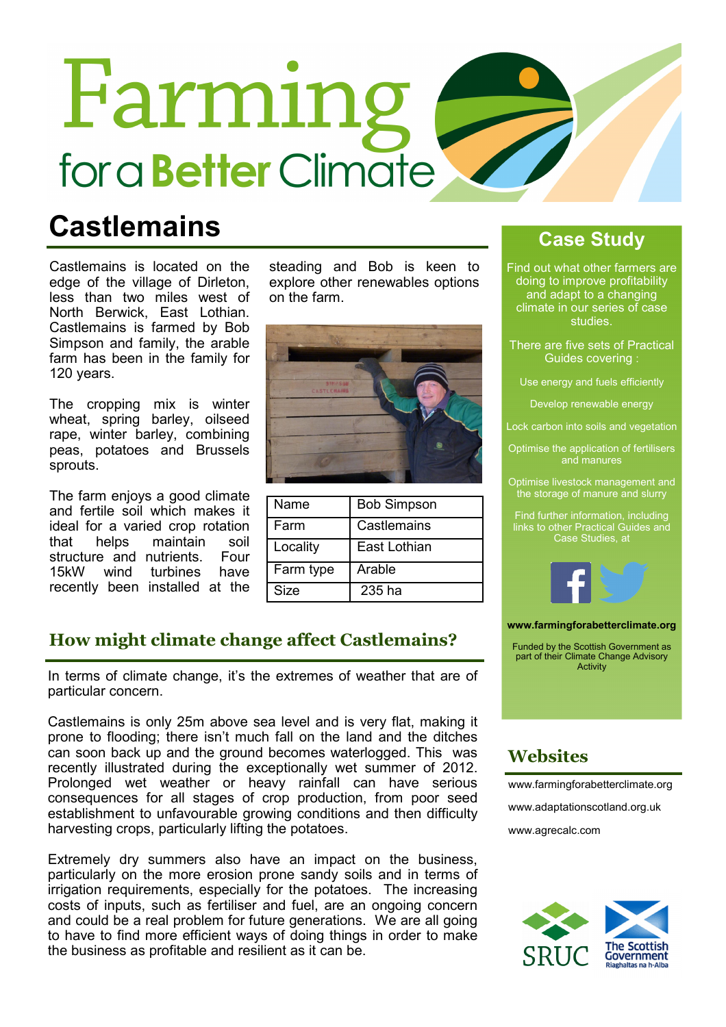# Farming for a **Better** Climate

### **Castlemains**

Castlemains is located on the edge of the village of Dirleton, less than two miles west of North Berwick, East Lothian. Castlemains is farmed by Bob Simpson and family, the arable farm has been in the family for 120 years.

The cropping mix is winter wheat, spring barley, oilseed rape, winter barley, combining peas, potatoes and Brussels sprouts.

The farm enjoys a good climate and fertile soil which makes it ideal for a varied crop rotation<br>that belps maintain soil maintain soil<br>utrients Four structure and nutrients. 15kW wind turbines have recently been installed at the steading and Bob is keen to explore other renewables options on the farm.



| Name      | <b>Bob Simpson</b> |
|-----------|--------------------|
| Farm      | Castlemains        |
| Locality  | East Lothian       |
| Farm type | Arable             |
| Size      | $235$ ha           |

### How might climate change affect Castlemains?

In terms of climate change, it's the extremes of weather that are of particular concern.

Castlemains is only 25m above sea level and is very flat, making it prone to flooding; there isn't much fall on the land and the ditches can soon back up and the ground becomes waterlogged. This was recently illustrated during the exceptionally wet summer of 2012. Prolonged wet weather or heavy rainfall can have serious consequences for all stages of crop production, from poor seed establishment to unfavourable growing conditions and then difficulty harvesting crops, particularly lifting the potatoes.

Extremely dry summers also have an impact on the business, particularly on the more erosion prone sandy soils and in terms of irrigation requirements, especially for the potatoes. The increasing costs of inputs, such as fertiliser and fuel, are an ongoing concern and could be a real problem for future generations. We are all going to have to find more efficient ways of doing things in order to make the business as profitable and resilient as it can be.

### Case Study

Find out what other farmers are doing to improve profitability and adapt to a changing climate in our series of case studies.

- There are five sets of Practical Guides covering :
	- Use energy and fuels efficiently
		- Develop renewable energy
- Lock carbon into soils and vegetation
- Optimise the application of fertilisers
- Optimise livestock management and the storage of manure and slurry
- Find further information, including links to other Practical Guides and Case Studies, at



#### www.farmingforabetterclimate.org

Funded by the Scottish Government as part of their Climate Change Advisory Activity

### **Websites**

www.farmingforabetterclimate.org www.adaptationscotland.org.uk www.agrecalc.com